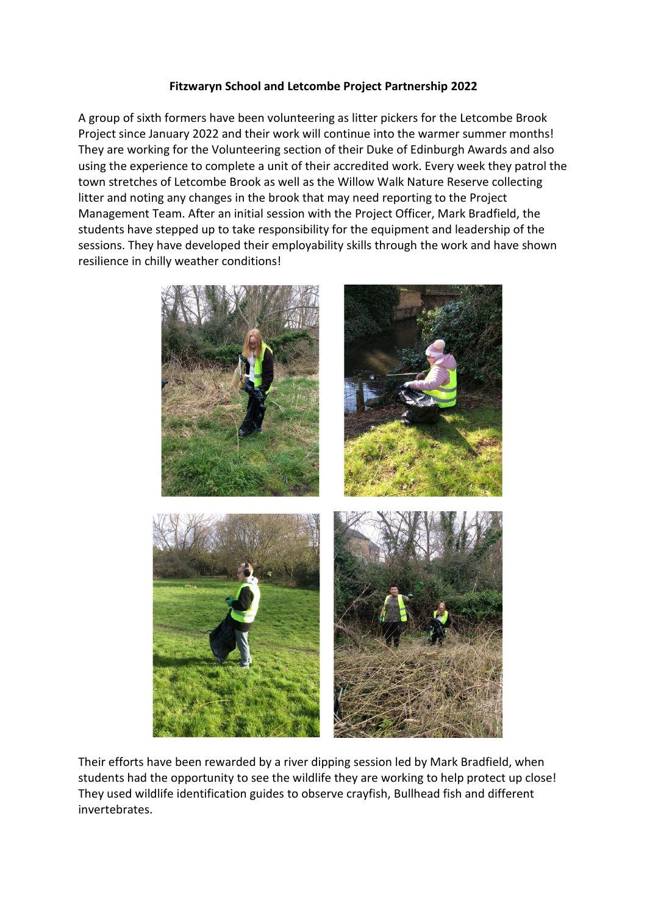## **Fitzwaryn School and Letcombe Project Partnership 2022**

A group of sixth formers have been volunteering as litter pickers for the Letcombe Brook Project since January 2022 and their work will continue into the warmer summer months! They are working for the Volunteering section of their Duke of Edinburgh Awards and also using the experience to complete a unit of their accredited work. Every week they patrol the town stretches of Letcombe Brook as well as the Willow Walk Nature Reserve collecting litter and noting any changes in the brook that may need reporting to the Project Management Team. After an initial session with the Project Officer, Mark Bradfield, the students have stepped up to take responsibility for the equipment and leadership of the sessions. They have developed their employability skills through the work and have shown resilience in chilly weather conditions!



Their efforts have been rewarded by a river dipping session led by Mark Bradfield, when students had the opportunity to see the wildlife they are working to help protect up close! They used wildlife identification guides to observe crayfish, Bullhead fish and different invertebrates.